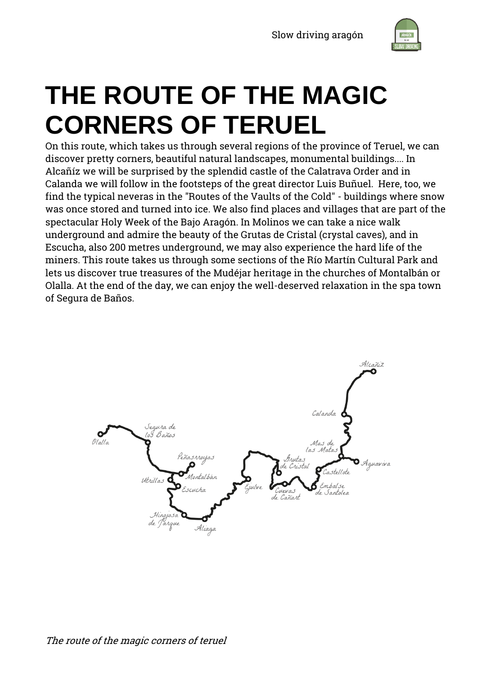

# **THE ROUTE OF THE MAGIC CORNERS OF TERUEL**

On this route, which takes us through several regions of the province of Teruel, we can discover pretty corners, beautiful natural landscapes, monumental buildings.... In Alcañíz we will be surprised by the splendid castle of the Calatrava Order and in Calanda we will follow in the footsteps of the great director Luis Buñuel. Here, too, we find the typical neveras in the "Routes of the Vaults of the Cold" - buildings where snow was once stored and turned into ice. We also find places and villages that are part of the spectacular Holy Week of the Bajo Aragón. In Molinos we can take a nice walk underground and admire the beauty of the Grutas de Cristal (crystal caves), and in Escucha, also 200 metres underground, we may also experience the hard life of the miners. This route takes us through some sections of the Río Martín Cultural Park and lets us discover true treasures of the Mudéjar heritage in the churches of Montalbán or Olalla. At the end of the day, we can enjoy the well-deserved relaxation in the spa town of Segura de Baños.

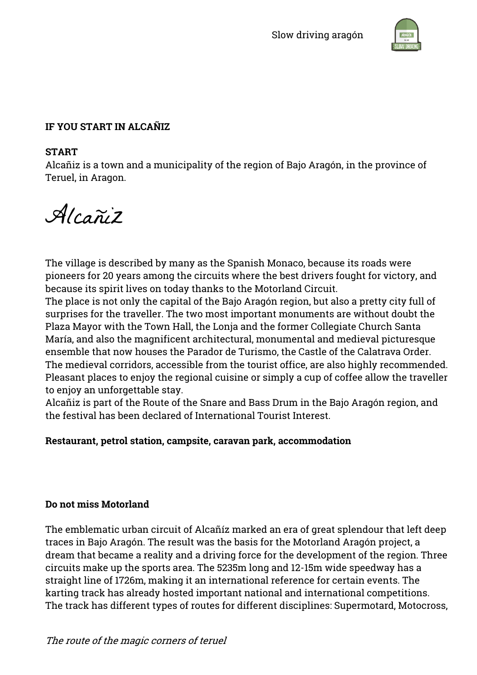

# **IF YOU START IN ALCAÑIZ**

#### **START**

Alcañiz is a town and a municipality of the region of Bajo Aragón, in the province of Teruel, in Aragon.

Alcañiz

The village is described by many as the Spanish Monaco, because its roads were pioneers for 20 years among the circuits where the best drivers fought for victory, and because its spirit lives on today thanks to the Motorland Circuit.

The place is not only the capital of the Bajo Aragón region, but also a pretty city full of surprises for the traveller. The two most important monuments are without doubt the Plaza Mayor with the Town Hall, the Lonja and the former Collegiate Church Santa María, and also the magnificent architectural, monumental and medieval picturesque ensemble that now houses the Parador de Turismo, the Castle of the Calatrava Order. The medieval corridors, accessible from the tourist office, are also highly recommended. Pleasant places to enjoy the regional cuisine or simply a cup of coffee allow the traveller to enjoy an unforgettable stay.

Alcañiz is part of the Route of the Snare and Bass Drum in the Bajo Aragón region, and the festival has been declared of International Tourist Interest.

# **Restaurant, petrol station, campsite, caravan park, accommodation**

#### **Do not miss Motorland**

The emblematic urban circuit of Alcañíz marked an era of great splendour that left deep traces in Bajo Aragón. The result was the basis for the Motorland Aragón project, a dream that became a reality and a driving force for the development of the region. Three circuits make up the sports area. The 5235m long and 12-15m wide speedway has a straight line of 1726m, making it an international reference for certain events. The karting track has already hosted important national and international competitions. The track has different types of routes for different disciplines: Supermotard, Motocross,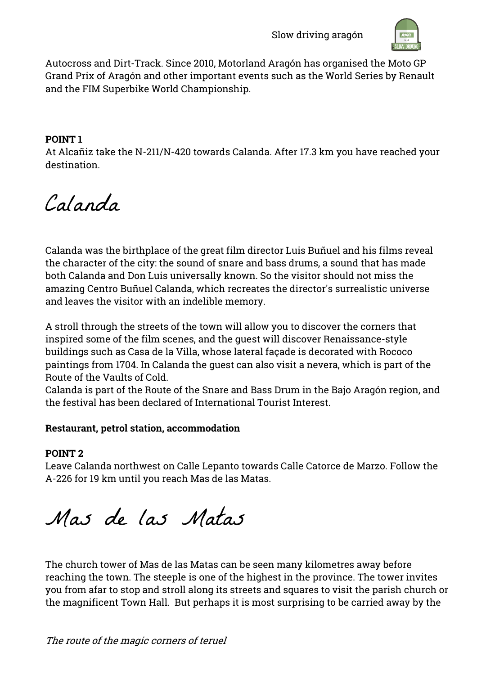

Autocross and Dirt-Track. Since 2010, Motorland Aragón has organised the Moto GP Grand Prix of Aragón and other important events such as the World Series by Renault and the FIM Superbike World Championship.

# **POINT 1**

At Alcañiz take the N-211/N-420 towards Calanda. After 17.3 km you have reached your destination.

Calanda

Calanda was the birthplace of the great film director Luis Buñuel and his films reveal the character of the city: the sound of snare and bass drums, a sound that has made both Calanda and Don Luis universally known. So the visitor should not miss the amazing Centro Buñuel Calanda, which recreates the director's surrealistic universe and leaves the visitor with an indelible memory.

A stroll through the streets of the town will allow you to discover the corners that inspired some of the film scenes, and the guest will discover Renaissance-style buildings such as Casa de la Villa, whose lateral façade is decorated with Rococo paintings from 1704. In Calanda the guest can also visit a nevera, which is part of the Route of the Vaults of Cold.

Calanda is part of the Route of the Snare and Bass Drum in the Bajo Aragón region, and the festival has been declared of International Tourist Interest.

# **Restaurant, petrol station, accommodation**

# **POINT 2**

Leave Calanda northwest on Calle Lepanto towards Calle Catorce de Marzo. Follow the A-226 for 19 km until you reach Mas de las Matas.

Mas de las Matas

The church tower of Mas de las Matas can be seen many kilometres away before reaching the town. The steeple is one of the highest in the province. The tower invites you from afar to stop and stroll along its streets and squares to visit the parish church or the magnificent Town Hall. But perhaps it is most surprising to be carried away by the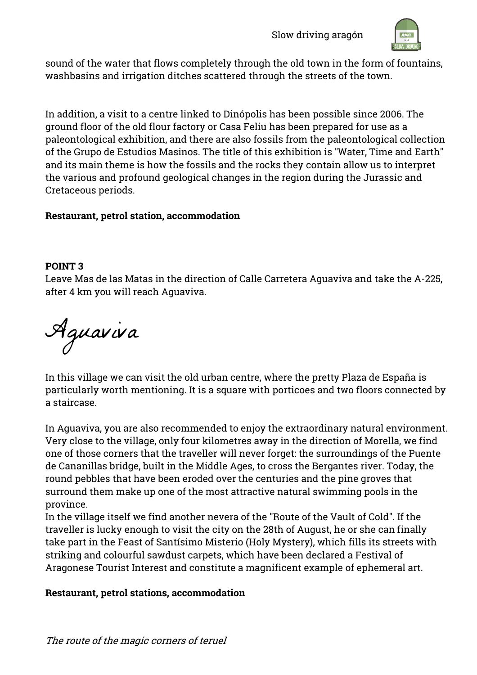

sound of the water that flows completely through the old town in the form of fountains, washbasins and irrigation ditches scattered through the streets of the town.

In addition, a visit to a centre linked to Dinópolis has been possible since 2006. The ground floor of the old flour factory or Casa Feliu has been prepared for use as a paleontological exhibition, and there are also fossils from the paleontological collection of the Grupo de Estudios Masinos. The title of this exhibition is "Water, Time and Earth" and its main theme is how the fossils and the rocks they contain allow us to interpret the various and profound geological changes in the region during the Jurassic and Cretaceous periods.

# **Restaurant, petrol station, accommodation**

#### **POINT 3**

Leave Mas de las Matas in the direction of Calle Carretera Aguaviva and take the A-225, after 4 km you will reach Aguaviva.

Aguaviva

In this village we can visit the old urban centre, where the pretty Plaza de España is particularly worth mentioning. It is a square with porticoes and two floors connected by a staircase.

In Aguaviva, you are also recommended to enjoy the extraordinary natural environment. Very close to the village, only four kilometres away in the direction of Morella, we find one of those corners that the traveller will never forget: the surroundings of the Puente de Cananillas bridge, built in the Middle Ages, to cross the Bergantes river. Today, the round pebbles that have been eroded over the centuries and the pine groves that surround them make up one of the most attractive natural swimming pools in the province.

In the village itself we find another nevera of the "Route of the Vault of Cold". If the traveller is lucky enough to visit the city on the 28th of August, he or she can finally take part in the Feast of Santísimo Misterio (Holy Mystery), which fills its streets with striking and colourful sawdust carpets, which have been declared a Festival of Aragonese Tourist Interest and constitute a magnificent example of ephemeral art.

# **Restaurant, petrol stations, accommodation**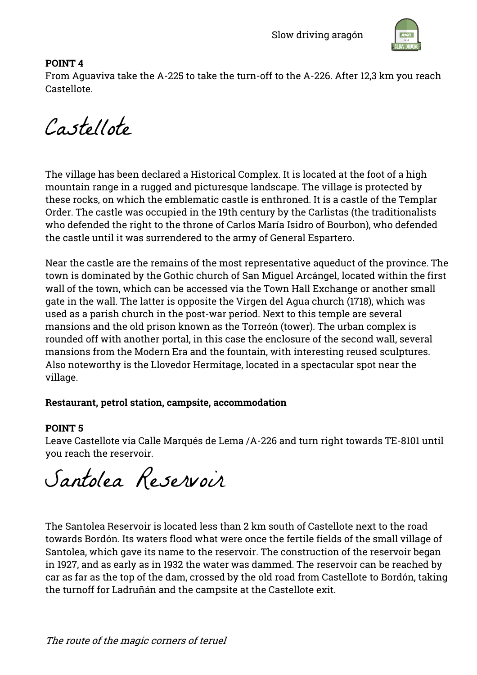

# **POINT 4**

From Aguaviva take the A-225 to take the turn-off to the A-226. After 12,3 km you reach Castellote.

Castellote

The village has been declared a Historical Complex. It is located at the foot of a high mountain range in a rugged and picturesque landscape. The village is protected by these rocks, on which the emblematic castle is enthroned. It is a castle of the Templar Order. The castle was occupied in the 19th century by the Carlistas (the traditionalists who defended the right to the throne of Carlos María Isidro of Bourbon), who defended the castle until it was surrendered to the army of General Espartero.

Near the castle are the remains of the most representative aqueduct of the province. The town is dominated by the Gothic church of San Miguel Arcángel, located within the first wall of the town, which can be accessed via the Town Hall Exchange or another small gate in the wall. The latter is opposite the Virgen del Agua church (1718), which was used as a parish church in the post-war period. Next to this temple are several mansions and the old prison known as the Torreón (tower). The urban complex is rounded off with another portal, in this case the enclosure of the second wall, several mansions from the Modern Era and the fountain, with interesting reused sculptures. Also noteworthy is the Llovedor Hermitage, located in a spectacular spot near the village.

# **Restaurant, petrol station, campsite, accommodation**

# **POINT 5**

Leave Castellote via Calle Marqués de Lema /A-226 and turn right towards TE-8101 until you reach the reservoir.

Santolea Reservoir

The Santolea Reservoir is located less than 2 km south of Castellote next to the road towards Bordón. Its waters flood what were once the fertile fields of the small village of Santolea, which gave its name to the reservoir. The construction of the reservoir began in 1927, and as early as in 1932 the water was dammed. The reservoir can be reached by car as far as the top of the dam, crossed by the old road from Castellote to Bordón, taking the turnoff for Ladruñán and the campsite at the Castellote exit.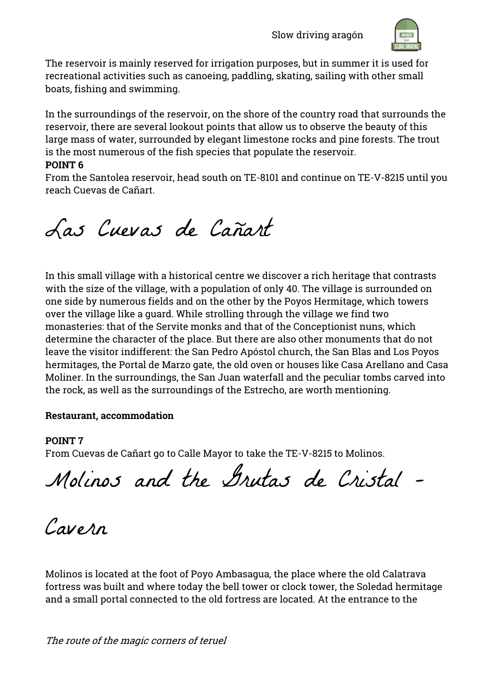

The reservoir is mainly reserved for irrigation purposes, but in summer it is used for recreational activities such as canoeing, paddling, skating, sailing with other small boats, fishing and swimming.

In the surroundings of the reservoir, on the shore of the country road that surrounds the reservoir, there are several lookout points that allow us to observe the beauty of this large mass of water, surrounded by elegant limestone rocks and pine forests. The trout is the most numerous of the fish species that populate the reservoir.

#### **POINT 6**

From the Santolea reservoir, head south on TE-8101 and continue on TE-V-8215 until you reach Cuevas de Cañart.

# Las Cuevas de Cañart

In this small village with a historical centre we discover a rich heritage that contrasts with the size of the village, with a population of only 40. The village is surrounded on one side by numerous fields and on the other by the Poyos Hermitage, which towers over the village like a guard. While strolling through the village we find two monasteries: that of the Servite monks and that of the Conceptionist nuns, which determine the character of the place. But there are also other monuments that do not leave the visitor indifferent: the San Pedro Apóstol church, the San Blas and Los Poyos hermitages, the Portal de Marzo gate, the old oven or houses like Casa Arellano and Casa Moliner. In the surroundings, the San Juan waterfall and the peculiar tombs carved into the rock, as well as the surroundings of the Estrecho, are worth mentioning.

# **Restaurant, accommodation**

# **POINT 7**

From Cuevas de Cañart go to Calle Mayor to take the TE-V-8215 to Molinos.

Molinos and the Grutas de Cristal –

Cavern

Molinos is located at the foot of Poyo Ambasagua, the place where the old Calatrava fortress was built and where today the bell tower or clock tower, the Soledad hermitage and a small portal connected to the old fortress are located. At the entrance to the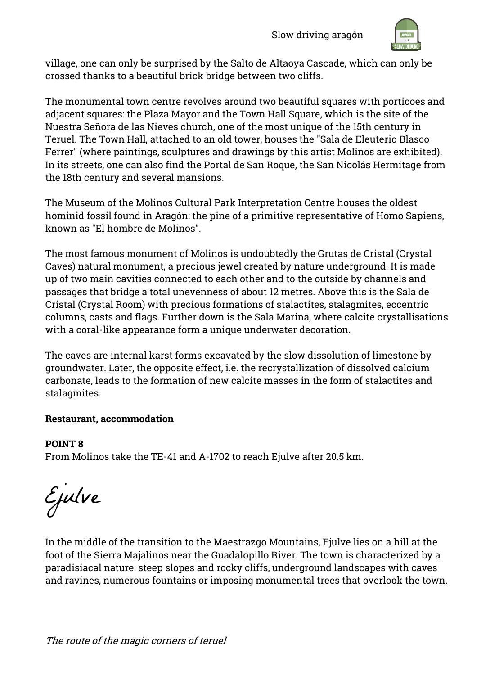

village, one can only be surprised by the Salto de Altaoya Cascade, which can only be crossed thanks to a beautiful brick bridge between two cliffs.

The monumental town centre revolves around two beautiful squares with porticoes and adjacent squares: the Plaza Mayor and the Town Hall Square, which is the site of the Nuestra Señora de las Nieves church, one of the most unique of the 15th century in Teruel. The Town Hall, attached to an old tower, houses the "Sala de Eleuterio Blasco Ferrer" (where paintings, sculptures and drawings by this artist Molinos are exhibited). In its streets, one can also find the Portal de San Roque, the San Nicolás Hermitage from the 18th century and several mansions.

The Museum of the Molinos Cultural Park Interpretation Centre houses the oldest hominid fossil found in Aragón: the pine of a primitive representative of Homo Sapiens, known as "El hombre de Molinos".

The most famous monument of Molinos is undoubtedly the Grutas de Cristal (Crystal Caves) natural monument, a precious jewel created by nature underground. It is made up of two main cavities connected to each other and to the outside by channels and passages that bridge a total unevenness of about 12 metres. Above this is the Sala de Cristal (Crystal Room) with precious formations of stalactites, stalagmites, eccentric columns, casts and flags. Further down is the Sala Marina, where calcite crystallisations with a coral-like appearance form a unique underwater decoration.

The caves are internal karst forms excavated by the slow dissolution of limestone by groundwater. Later, the opposite effect, i.e. the recrystallization of dissolved calcium carbonate, leads to the formation of new calcite masses in the form of stalactites and stalagmites.

# **Restaurant, accommodation**

**POINT 8** From Molinos take the TE-41 and A-1702 to reach Ejulve after 20.5 km.

Ejulve

In the middle of the transition to the Maestrazgo Mountains, Ejulve lies on a hill at the foot of the Sierra Majalinos near the Guadalopillo River. The town is characterized by a paradisiacal nature: steep slopes and rocky cliffs, underground landscapes with caves and ravines, numerous fountains or imposing monumental trees that overlook the town.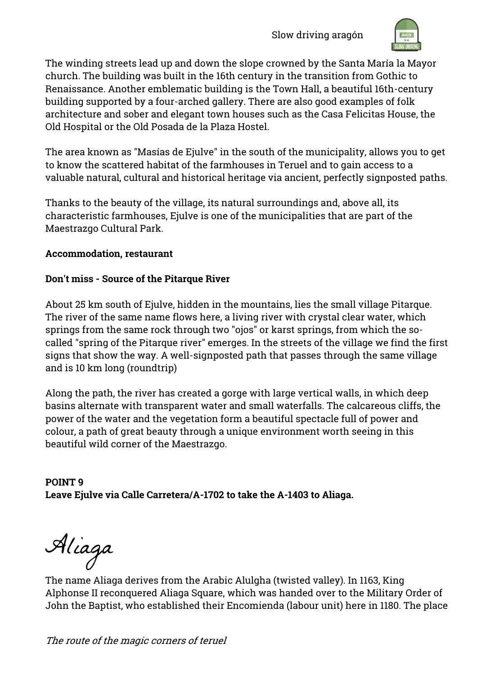

The winding streets lead up and down the slope crowned by the Santa María la Mayor church. The building was built in the 16th century in the transition from Gothic to Renaissance. Another emblematic building is the Town Hall, a beautiful 16th-century building supported by a four-arched gallery. There are also good examples of folk architecture and sober and elegant town houses such as the Casa Felicitas House, the Old Hospital or the Old Posada de la Plaza Hostel.

The area known as "Masías de Ejulve" in the south of the municipality, allows you to get to know the scattered habitat of the farmhouses in Teruel and to gain access to a valuable natural, cultural and historical heritage via ancient, perfectly signposted paths.

Thanks to the beauty of the village, its natural surroundings and, above all, its characteristic farmhouses, Ejulve is one of the municipalities that are part of the Maestrazgo Cultural Park.

# **Accommodation, restaurant**

# **Don't miss - Source of the Pitarque River**

About 25 km south of Ejulve, hidden in the mountains, lies the small village Pitarque. The river of the same name flows here, a living river with crystal clear water, which springs from the same rock through two "ojos" or karst springs, from which the socalled "spring of the Pitarque river" emerges. In the streets of the village we find the first signs that show the way. A well-signposted path that passes through the same village and is 10 km long (roundtrip)

Along the path, the river has created a gorge with large vertical walls, in which deep basins alternate with transparent water and small waterfalls. The calcareous cliffs, the power of the water and the vegetation form a beautiful spectacle full of power and colour, a path of great beauty through a unique environment worth seeing in this beautiful wild corner of the Maestrazgo.

**POINT 9 Leave Ejulve via Calle Carretera/A-1702 to take the A-1403 to Aliaga.**

Aliaga

The name Aliaga derives from the Arabic Alulgha (twisted valley). In 1163, King Alphonse II reconquered Aliaga Square, which was handed over to the Military Order of John the Baptist, who established their Encomienda (labour unit) here in 1180. The place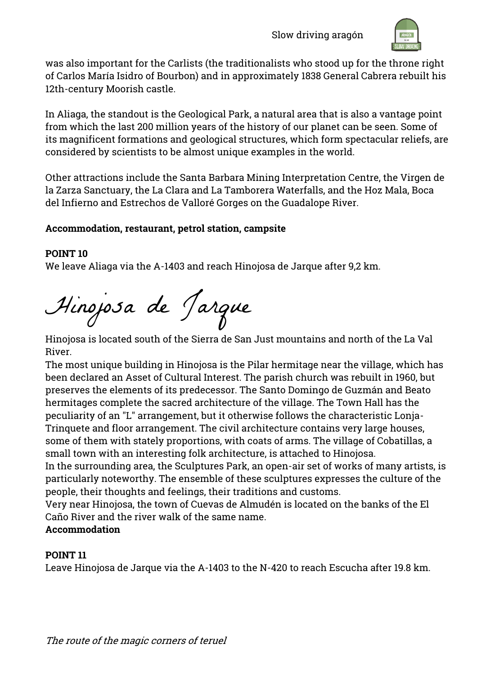

was also important for the Carlists (the traditionalists who stood up for the throne right of Carlos María Isidro of Bourbon) and in approximately 1838 General Cabrera rebuilt his 12th-century Moorish castle.

In Aliaga, the standout is the Geological Park, a natural area that is also a vantage point from which the last 200 million years of the history of our planet can be seen. Some of its magnificent formations and geological structures, which form spectacular reliefs, are considered by scientists to be almost unique examples in the world.

Other attractions include the Santa Barbara Mining Interpretation Centre, the Virgen de la Zarza Sanctuary, the La Clara and La Tamborera Waterfalls, and the Hoz Mala, Boca del Infierno and Estrechos de Valloré Gorges on the Guadalope River.

# **Accommodation, restaurant, petrol station, campsite**

# **POINT 10**

We leave Aliaga via the A-1403 and reach Hinojosa de Jarque after 9,2 km.

Hinojosa de Jarque

Hinojosa is located south of the Sierra de San Just mountains and north of the La Val River.

The most unique building in Hinojosa is the Pilar hermitage near the village, which has been declared an Asset of Cultural Interest. The parish church was rebuilt in 1960, but preserves the elements of its predecessor. The Santo Domingo de Guzmán and Beato hermitages complete the sacred architecture of the village. The Town Hall has the peculiarity of an "L" arrangement, but it otherwise follows the characteristic Lonja-Trinquete and floor arrangement. The civil architecture contains very large houses, some of them with stately proportions, with coats of arms. The village of Cobatillas, a small town with an interesting folk architecture, is attached to Hinojosa.

In the surrounding area, the Sculptures Park, an open-air set of works of many artists, is particularly noteworthy. The ensemble of these sculptures expresses the culture of the people, their thoughts and feelings, their traditions and customs.

Very near Hinojosa, the town of Cuevas de Almudén is located on the banks of the El Caño River and the river walk of the same name.

# **Accommodation**

# **POINT 11**

Leave Hinojosa de Jarque via the A-1403 to the N-420 to reach Escucha after 19.8 km.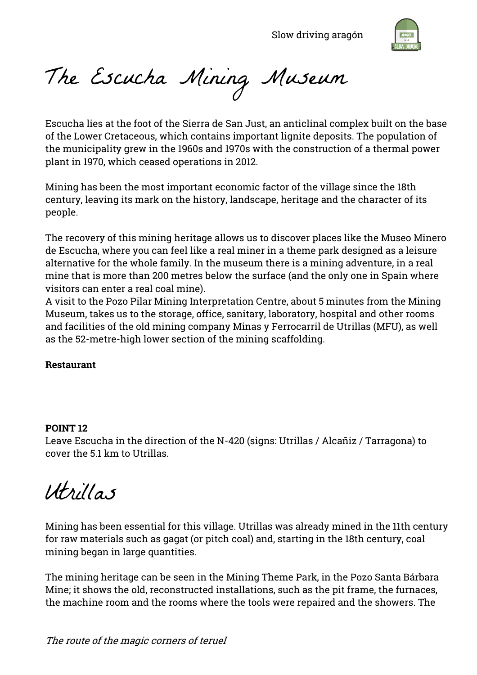

The Escucha Mining Museum

Escucha lies at the foot of the Sierra de San Just, an anticlinal complex built on the base of the Lower Cretaceous, which contains important lignite deposits. The population of the municipality grew in the 1960s and 1970s with the construction of a thermal power plant in 1970, which ceased operations in 2012.

Mining has been the most important economic factor of the village since the 18th century, leaving its mark on the history, landscape, heritage and the character of its people.

The recovery of this mining heritage allows us to discover places like the Museo Minero de Escucha, where you can feel like a real miner in a theme park designed as a leisure alternative for the whole family. In the museum there is a mining adventure, in a real mine that is more than 200 metres below the surface (and the only one in Spain where visitors can enter a real coal mine).

A visit to the Pozo Pilar Mining Interpretation Centre, about 5 minutes from the Mining Museum, takes us to the storage, office, sanitary, laboratory, hospital and other rooms and facilities of the old mining company Minas y Ferrocarril de Utrillas (MFU), as well as the 52-metre-high lower section of the mining scaffolding.

#### **Restaurant**

#### **POINT 12**

Leave Escucha in the direction of the N-420 (signs: Utrillas / Alcañiz / Tarragona) to cover the 5.1 km to Utrillas.

Utrillas

Mining has been essential for this village. Utrillas was already mined in the 11th century for raw materials such as gagat (or pitch coal) and, starting in the 18th century, coal mining began in large quantities.

The mining heritage can be seen in the Mining Theme Park, in the Pozo Santa Bárbara Mine; it shows the old, reconstructed installations, such as the pit frame, the furnaces, the machine room and the rooms where the tools were repaired and the showers. The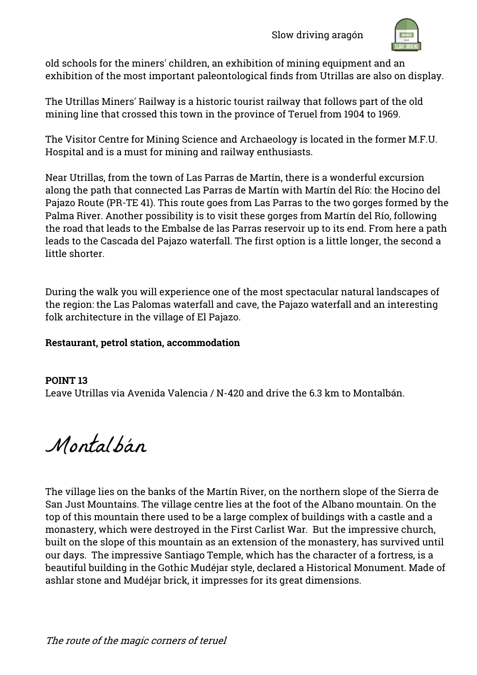

old schools for the miners' children, an exhibition of mining equipment and an exhibition of the most important paleontological finds from Utrillas are also on display.

The Utrillas Miners' Railway is a historic tourist railway that follows part of the old mining line that crossed this town in the province of Teruel from 1904 to 1969.

The Visitor Centre for Mining Science and Archaeology is located in the former M.F.U. Hospital and is a must for mining and railway enthusiasts.

Near Utrillas, from the town of Las Parras de Martín, there is a wonderful excursion along the path that connected Las Parras de Martín with Martín del Río: the Hocino del Pajazo Route (PR-TE 41). This route goes from Las Parras to the two gorges formed by the Palma River. Another possibility is to visit these gorges from Martín del Río, following the road that leads to the Embalse de las Parras reservoir up to its end. From here a path leads to the Cascada del Pajazo waterfall. The first option is a little longer, the second a little shorter.

During the walk you will experience one of the most spectacular natural landscapes of the region: the Las Palomas waterfall and cave, the Pajazo waterfall and an interesting folk architecture in the village of El Pajazo.

#### **Restaurant, petrol station, accommodation**

# **POINT 13** Leave Utrillas via Avenida Valencia / N-420 and drive the 6.3 km to Montalbán.

Montalbán

The village lies on the banks of the Martín River, on the northern slope of the Sierra de San Just Mountains. The village centre lies at the foot of the Albano mountain. On the top of this mountain there used to be a large complex of buildings with a castle and a monastery, which were destroyed in the First Carlist War. But the impressive church, built on the slope of this mountain as an extension of the monastery, has survived until our days. The impressive Santiago Temple, which has the character of a fortress, is a beautiful building in the Gothic Mudéjar style, declared a Historical Monument. Made of ashlar stone and Mudéjar brick, it impresses for its great dimensions.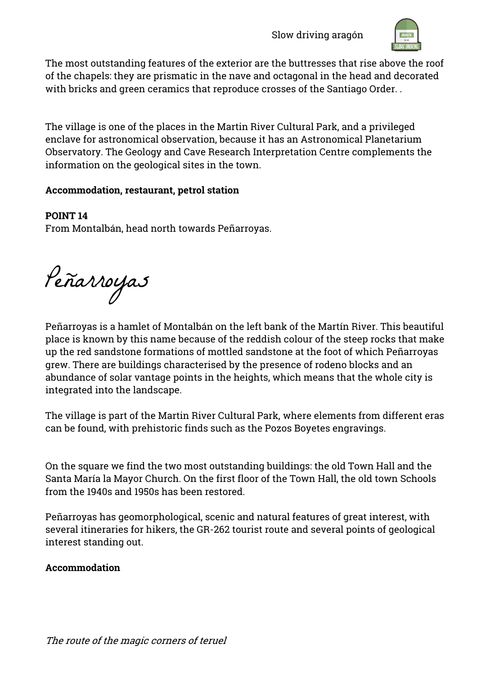

The most outstanding features of the exterior are the buttresses that rise above the roof of the chapels: they are prismatic in the nave and octagonal in the head and decorated with bricks and green ceramics that reproduce crosses of the Santiago Order. .

The village is one of the places in the Martin River Cultural Park, and a privileged enclave for astronomical observation, because it has an Astronomical Planetarium Observatory. The Geology and Cave Research Interpretation Centre complements the information on the geological sites in the town.

# **Accommodation, restaurant, petrol station**

**POINT 14**

From Montalbán, head north towards Peñarroyas.

Peñarroyas

Peñarroyas is a hamlet of Montalbán on the left bank of the Martín River. This beautiful place is known by this name because of the reddish colour of the steep rocks that make up the red sandstone formations of mottled sandstone at the foot of which Peñarroyas grew. There are buildings characterised by the presence of rodeno blocks and an abundance of solar vantage points in the heights, which means that the whole city is integrated into the landscape.

The village is part of the Martin River Cultural Park, where elements from different eras can be found, with prehistoric finds such as the Pozos Boyetes engravings.

On the square we find the two most outstanding buildings: the old Town Hall and the Santa María la Mayor Church. On the first floor of the Town Hall, the old town Schools from the 1940s and 1950s has been restored.

Peñarroyas has geomorphological, scenic and natural features of great interest, with several itineraries for hikers, the GR-262 tourist route and several points of geological interest standing out.

# **Accommodation**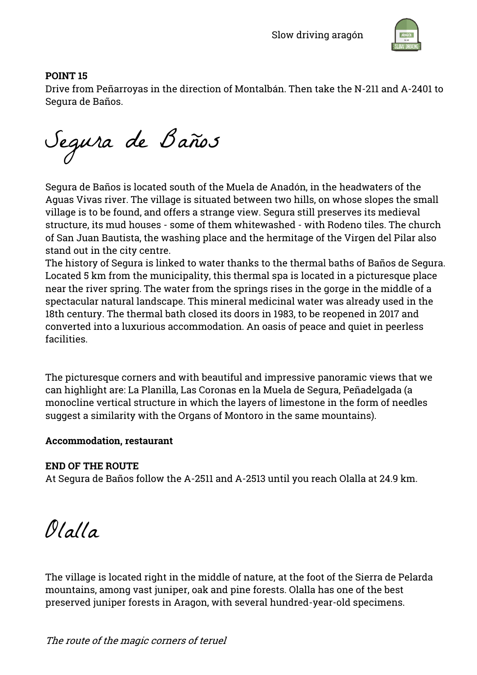

# **POINT 15**

Drive from Peñarroyas in the direction of Montalbán. Then take the N-211 and A-2401 to Segura de Baños.

Segura de Baños

Segura de Baños is located south of the Muela de Anadón, in the headwaters of the Aguas Vivas river. The village is situated between two hills, on whose slopes the small village is to be found, and offers a strange view. Segura still preserves its medieval structure, its mud houses - some of them whitewashed - with Rodeno tiles. The church of San Juan Bautista, the washing place and the hermitage of the Virgen del Pilar also stand out in the city centre.

The history of Segura is linked to water thanks to the thermal baths of Baños de Segura. Located 5 km from the municipality, this thermal spa is located in a picturesque place near the river spring. The water from the springs rises in the gorge in the middle of a spectacular natural landscape. This mineral medicinal water was already used in the 18th century. The thermal bath closed its doors in 1983, to be reopened in 2017 and converted into a luxurious accommodation. An oasis of peace and quiet in peerless facilities.

The picturesque corners and with beautiful and impressive panoramic views that we can highlight are: La Planilla, Las Coronas en la Muela de Segura, Peñadelgada (a monocline vertical structure in which the layers of limestone in the form of needles suggest a similarity with the Organs of Montoro in the same mountains).

# **Accommodation, restaurant**

# **END OF THE ROUTE**

At Segura de Baños follow the A-2511 and A-2513 until you reach Olalla at 24.9 km.

Olalla

The village is located right in the middle of nature, at the foot of the Sierra de Pelarda mountains, among vast juniper, oak and pine forests. Olalla has one of the best preserved juniper forests in Aragon, with several hundred-year-old specimens.